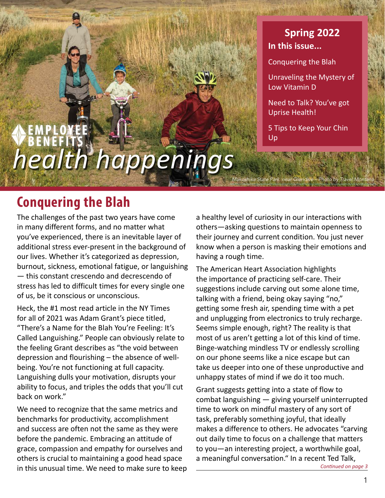# *health happenings*

## **In this issue... Spring 2022**

Conquering the Blah

[Unraveling the Mystery of](#page-1-0)  [Low Vitamin D](#page-1-0)

[Need to Talk? You've got](#page-2-0)  [Uprise Health!](#page-2-0)

[5 Tips to Keep Your Chin](#page-3-0)  [Up](#page-3-0)

*Makoshika State Park near Glendive – Photo by Travel Montana*

## **Conquering the Blah**

The challenges of the past two years have come in many different forms, and no matter what you've experienced, there is an inevitable layer of additional stress ever-present in the background of our lives. Whether it's categorized as depression, burnout, sickness, emotional fatigue, or languishing — this constant crescendo and decrescendo of stress has led to difficult times for every single one of us, be it conscious or unconscious.

Heck, the #1 most read article in the NY Times for all of 2021 was Adam Grant's piece titled, "There's a Name for the Blah You're Feeling: It's Called Languishing." People can obviously relate to the feeling Grant describes as "the void between depression and flourishing – the absence of wellbeing. You're not functioning at full capacity. Languishing dulls your motivation, disrupts your ability to focus, and triples the odds that you'll cut back on work."

We need to recognize that the same metrics and benchmarks for productivity, accomplishment and success are often not the same as they were before the pandemic. Embracing an attitude of grace, compassion and empathy for ourselves and others is crucial to maintaining a good head space in this unusual time. We need to make sure to keep

a healthy level of curiosity in our interactions with others—asking questions to maintain openness to their journey and current condition. You just never know when a person is masking their emotions and having a rough time.

The American Heart Association highlights the importance of practicing self-care. Their suggestions include carving out some alone time, talking with a friend, being okay saying "no," getting some fresh air, spending time with a pet and unplugging from electronics to truly recharge. Seems simple enough, right? The reality is that most of us aren't getting a lot of this kind of time. Binge-watching mindless TV or endlessly scrolling on our phone seems like a nice escape but can take us deeper into one of these unproductive and unhappy states of mind if we do it too much.

Grant suggests getting into a state of flow to combat languishing — giving yourself uninterrupted time to work on mindful mastery of any sort of task, preferably something joyful, that ideally makes a difference to others. He advocates "carving out daily time to focus on a challenge that matters to you—an interesting project, a worthwhile goal, a meaningful conversation." In a recent Ted Talk, *Continued on page 3*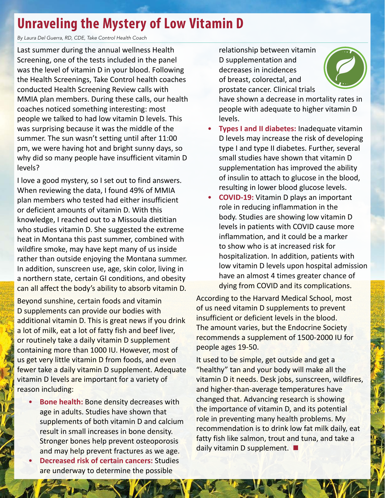## <span id="page-1-0"></span>**Unraveling the Mystery of Low Vitamin D**

*By Laura Del Guerra, RD, CDE, Take Control Health Coach*

Last summer during the annual wellness Health Screening, one of the tests included in the panel was the level of vitamin D in your blood. Following the Health Screenings, Take Control health coaches conducted Health Screening Review calls with MMIA plan members. During these calls, our health coaches noticed something interesting: most people we talked to had low vitamin D levels. This was surprising because it was the middle of the summer. The sun wasn't setting until after 11:00 pm, we were having hot and bright sunny days, so why did so many people have insufficient vitamin D levels?

I love a good mystery, so I set out to find answers. When reviewing the data, I found 49% of MMIA plan members who tested had either insufficient or deficient amounts of vitamin D. With this knowledge, I reached out to a Missoula dietitian who studies vitamin D. She suggested the extreme heat in Montana this past summer, combined with wildfire smoke, may have kept many of us inside rather than outside enjoying the Montana summer. In addition, sunscreen use, age, skin color, living in a northern state, certain GI conditions, and obesity can all affect the body's ability to absorb vitamin D.

Beyond sunshine, certain foods and vitamin D supplements can provide our bodies with additional vitamin D. This is great news if you drink a lot of milk, eat a lot of fatty fish and beef liver, or routinely take a daily vitamin D supplement containing more than 1000 IU. However, most of us get very little vitamin D from foods, and even fewer take a daily vitamin D supplement. Adequate vitamin D levels are important for a variety of reason including:

- **Bone health:** Bone density decreases with age in adults. Studies have shown that supplements of both vitamin D and calcium result in small increases in bone density. Stronger bones help prevent osteoporosis and may help prevent fractures as we age.
- **Decreased risk of certain cancers:** Studies are underway to determine the possible

2

relationship between vitamin D supplementation and decreases in incidences of breast, colorectal, and prostate cancer. Clinical trials



have shown a decrease in mortality rates in people with adequate to higher vitamin D levels.

- **Types I and II diabetes:** Inadequate vitamin D levels may increase the risk of developing type I and type II diabetes. Further, several small studies have shown that vitamin D supplementation has improved the ability of insulin to attach to glucose in the blood, resulting in lower blood glucose levels.
- **COVID-19:** Vitamin D plays an important role in reducing inflammation in the body. Studies are showing low vitamin D levels in patients with COVID cause more inflammation, and it could be a marker to show who is at increased risk for hospitalization. In addition, patients with low vitamin D levels upon hospital admission have an almost 4 times greater chance of dying from COVID and its complications.

According to the Harvard Medical School, most of us need vitamin D supplements to prevent insufficient or deficient levels in the blood. The amount varies, but the Endocrine Society recommends a supplement of 1500-2000 IU for people ages 19-50.

It used to be simple, get outside and get a "healthy" tan and your body will make all the vitamin D it needs. Desk jobs, sunscreen, wildfires, and higher-than-average temperatures have changed that. Advancing research is showing the importance of vitamin D, and its potential role in preventing many health problems. My recommendation is to drink low fat milk daily, eat fatty fish like salmon, trout and tuna, and take a daily vitamin D supplement. **■**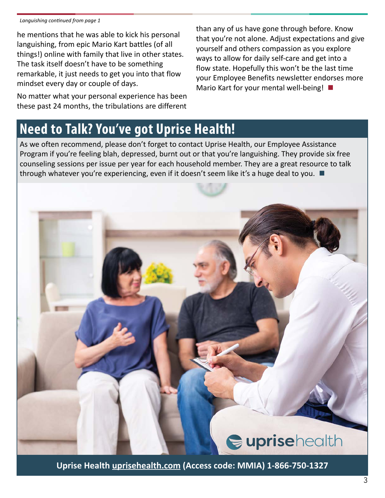#### <span id="page-2-0"></span>*Languishing continued from page 1*

he mentions that he was able to kick his personal languishing, from epic Mario Kart battles (of all things!) online with family that live in other states. The task itself doesn't have to be something remarkable, it just needs to get you into that flow mindset every day or couple of days.

No matter what your personal experience has been these past 24 months, the tribulations are different

than any of us have gone through before. Know that you're not alone. Adjust expectations and give yourself and others compassion as you explore ways to allow for daily self-care and get into a flow state. Hopefully this won't be the last time your Employee Benefits newsletter endorses more Mario Kart for your mental well-being! **■**

## **Need to Talk? You've got Uprise Health!**

As we often recommend, please don't forget to contact Uprise Health, our Employee Assistance Program if you're feeling blah, depressed, burnt out or that you're languishing. They provide six free counseling sessions per issue per year for each household member. They are a great resource to talk through whatever you're experiencing, even if it doesn't seem like it's a huge deal to you. **■**



**Uprise Health [uprisehealth.com \(](https://uprisehealth.com )Access code: MMIA) 1-866-750-1327**